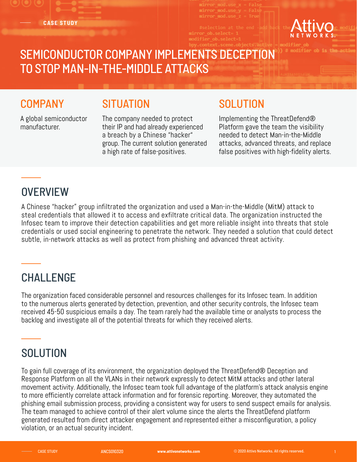**CASE STUDY**



# SEMICONDUCTOR COMPANY IMPLEMENTS DECEPTION TO STOP MAN-IN-THE-MIDDLE ATTACKS

#### **COMPANY**

### **SITUATION**

A global semiconductor manufacturer.

The company needed to protect their IP and had already experienced a breach by a Chinese "hacker" group. The current solution generated a high rate of false-positives.

### **SOLUTION**

Implementing the ThreatDefend® Platform gave the team the visibility needed to detect Man-in-the-Middle attacks, advanced threats, and replace false positives with high-fidelity alerts.

## **OVERVIEW**

A Chinese "hacker" group infiltrated the organization and used a Man-in-the-Middle (MitM) attack to steal credentials that allowed it to access and exfiltrate critical data. The organization instructed the Infosec team to improve their detection capabilities and get more reliable insight into threats that stole credentials or used social engineering to penetrate the network. They needed a solution that could detect subtle, in-network attacks as well as protect from phishing and advanced threat activity.

### CHALLENGE

The organization faced considerable personnel and resources challenges for its Infosec team. In addition to the numerous alerts generated by detection, prevention, and other security controls, the Infosec team received 45-50 suspicious emails a day. The team rarely had the available time or analysts to process the backlog and investigate all of the potential threats for which they received alerts.

## **SOLUTION**

To gain full coverage of its environment, the organization deployed the ThreatDefend® Deception and Response Platform on all the VLANs in their network expressly to detect MitM attacks and other lateral movement activity. Additionally, the Infosec team took full advantage of the platform's attack analysis engine to more efficiently correlate attack information and for forensic reporting. Moreover, they automated the phishing email submission process, providing a consistent way for users to send suspect emails for analysis. The team managed to achieve control of their alert volume since the alerts the ThreatDefend platform generated resulted from direct attacker engagement and represented either a misconfiguration, a policy violation, or an actual security incident.